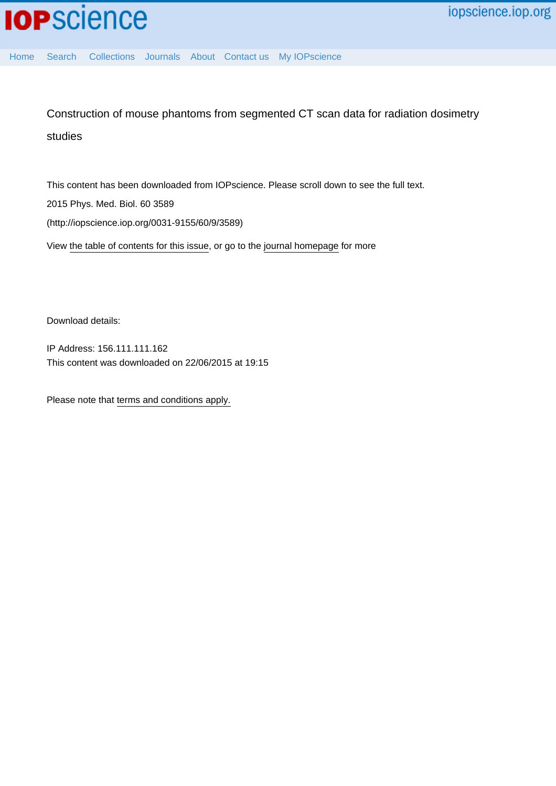[Home](http://iopscience.iop.org/) [Search](http://iopscience.iop.org/search) [Collections](http://iopscience.iop.org/collections) [Journals](http://iopscience.iop.org/journals) [About](http://iopscience.iop.org/page/aboutioppublishing) [Contact us](http://iopscience.iop.org/contact) [My IOPscience](http://iopscience.iop.org/myiopscience)

Construction of mouse phantoms from segmented CT scan data for radiation dosimetry studies

This content has been downloaded from IOPscience. Please scroll down to see the full text. View [the table of contents for this issue](http://iopscience.iop.org/0031-9155/60/9), or go to the [journal homepage](http://iopscience.iop.org/0031-9155) for more 2015 Phys. Med. Biol. 60 3589 (http://iopscience.iop.org/0031-9155/60/9/3589)

Download details:

IP Address: 156.111.111.162 This content was downloaded on 22/06/2015 at 19:15

Please note that [terms and conditions apply.](iopscience.iop.org/page/terms)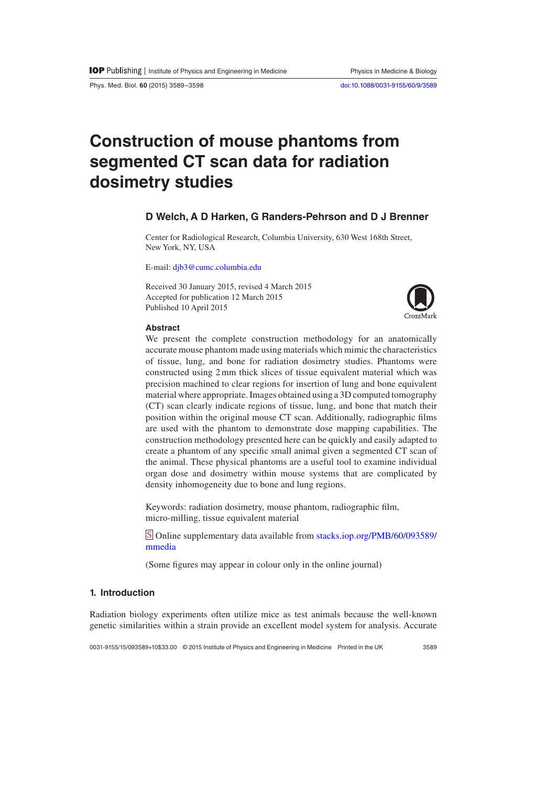Phys. Med. Biol. **60** (2015) 3589–3598 [doi:10.1088/0031-9155/60/9/3589](http://dx.doi.org/10.1088/0031-9155/60/9/3589)

# **Construction of mouse phantoms from segmented CT scan data for radiation dosimetry studies**

# **D Welch, A D Harken, G Randers-Pehrson and D J Brenner**

Center for Radiological Research, Columbia University, 630 West 168th Street, New York, NY, USA

E-mail: [djb3@cumc.columbia.edu](mailto:djb3@cumc.columbia.edu)

Received 30 January 2015, revised 4 March 2015 Accepted for publication 12 March 2015 Published 10 April 2015



# **Abstract**

We present the complete construction methodology for an anatomically accurate mouse phantom made using materials which mimic the characteristics of tissue, lung, and bone for radiation dosimetry studies. Phantoms were constructed using 2mm thick slices of tissue equivalent material which was precision machined to clear regions for insertion of lung and bone equivalent material where appropriate. Images obtained using a 3D computed tomography (CT) scan clearly indicate regions of tissue, lung, and bone that match their position within the original mouse CT scan. Additionally, radiographic films are used with the phantom to demonstrate dose mapping capabilities. The construction methodology presented here can be quickly and easily adapted to create a phantom of any specific small animal given a segmented CT scan of the animal. These physical phantoms are a useful tool to examine individual organ dose and dosimetry within mouse systems that are complicated by density inhomogeneity due to bone and lung regions.

Keywords: radiation dosimetry, mouse phantom, radiographic film, micro-milling, tissue equivalent material

S Online supplementary data available from [stacks.iop.org/PMB/60/093589/](http://stacks.iop.org/PMB/60/093589/mmedia) [mmedia](http://stacks.iop.org/PMB/60/093589/mmedia)

(Some figures may appear in colour only in the online journal)

# **1. Introduction**

Radiation biology experiments often utilize mice as test animals because the well-known genetic similarities within a strain provide an excellent model system for analysis. Accurate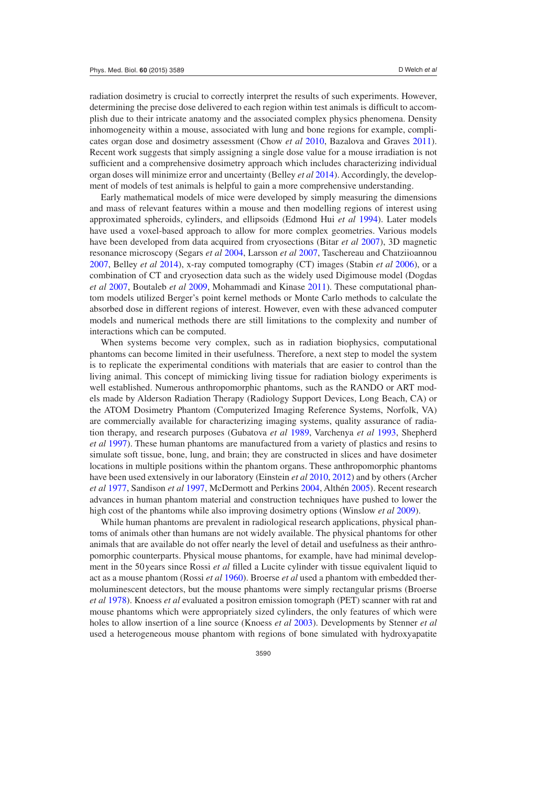radiation dosimetry is crucial to correctly interpret the results of such experiments. However, determining the precise dose delivered to each region within test animals is difficult to accomplish due to their intricate anatomy and the associated complex physics phenomena. Density inhomogeneity within a mouse, associated with lung and bone regions for example, complicates organ dose and dosimetry assessment (Chow *et al* [2010](#page-10-0), Bazalova and Graves [2011](#page-9-0)). Recent work suggests that simply assigning a single dose value for a mouse irradiation is not sufficient and a comprehensive dosimetry approach which includes characterizing individual organ doses will minimize error and uncertainty (Belley *et al* [2014\)](#page-9-1). Accordingly, the development of models of test animals is helpful to gain a more comprehensive understanding.

Early mathematical models of mice were developed by simply measuring the dimensions and mass of relevant features within a mouse and then modelling regions of interest using approximated spheroids, cylinders, and ellipsoids (Edmond Hui *et al* [1994\)](#page-10-1). Later models have used a voxel-based approach to allow for more complex geometries. Various models have been developed from data acquired from cryosections (Bitar *et al* [2007](#page-9-2)), 3D magnetic resonance microscopy (Segars *et al* [2004,](#page-10-2) Larsson *et al* [2007](#page-10-3), Taschereau and Chatziioannou [2007,](#page-10-4) Belley *et al* [2014](#page-9-1)), x-ray computed tomography (CT) images (Stabin *et al* [2006\)](#page-10-5), or a combination of CT and cryosection data such as the widely used Digimouse model (Dogdas *et al* [2007,](#page-10-6) Boutaleb *et al* [2009](#page-10-7), Mohammadi and Kinase [2011\)](#page-10-8). These computational phantom models utilized Berger's point kernel methods or Monte Carlo methods to calculate the absorbed dose in different regions of interest. However, even with these advanced computer models and numerical methods there are still limitations to the complexity and number of interactions which can be computed.

When systems become very complex, such as in radiation biophysics, computational phantoms can become limited in their usefulness. Therefore, a next step to model the system is to replicate the experimental conditions with materials that are easier to control than the living animal. This concept of mimicking living tissue for radiation biology experiments is well established. Numerous anthropomorphic phantoms, such as the RANDO or ART models made by Alderson Radiation Therapy (Radiology Support Devices, Long Beach, CA) or the ATOM Dosimetry Phantom (Computerized Imaging Reference Systems, Norfolk, VA) are commercially available for characterizing imaging systems, quality assurance of radiation therapy, and research purposes (Gubatova *et al* [1989](#page-10-9), Varchenya *et al* [1993](#page-10-10), Shepherd *et al* [1997](#page-10-11)). These human phantoms are manufactured from a variety of plastics and resins to simulate soft tissue, bone, lung, and brain; they are constructed in slices and have dosimeter locations in multiple positions within the phantom organs. These anthropomorphic phantoms have been used extensively in our laboratory (Einstein *et al* [2010](#page-10-12), [2012](#page-10-13)) and by others (Archer *et al* [1977,](#page-9-3) Sandison *et al* [1997](#page-10-14), McDermott and Perkins [2004](#page-10-15), Althén [2005](#page-9-4)). Recent research advances in human phantom material and construction techniques have pushed to lower the high cost of the phantoms while also improving dosimetry options (Winslow *et al* [2009\)](#page-10-16).

While human phantoms are prevalent in radiological research applications, physical phantoms of animals other than humans are not widely available. The physical phantoms for other animals that are available do not offer nearly the level of detail and usefulness as their anthropomorphic counterparts. Physical mouse phantoms, for example, have had minimal development in the 50years since Rossi *et al* filled a Lucite cylinder with tissue equivalent liquid to act as a mouse phantom (Rossi *et al* [1960](#page-10-17)). Broerse *et al* used a phantom with embedded thermoluminescent detectors, but the mouse phantoms were simply rectangular prisms (Broerse *et al* [1978\)](#page-10-18). Knoess *et al* evaluated a positron emission tomograph (PET) scanner with rat and mouse phantoms which were appropriately sized cylinders, the only features of which were holes to allow insertion of a line source (Knoess *et al* [2003\)](#page-10-19). Developments by Stenner *et al* used a heterogeneous mouse phantom with regions of bone simulated with hydroxyapatite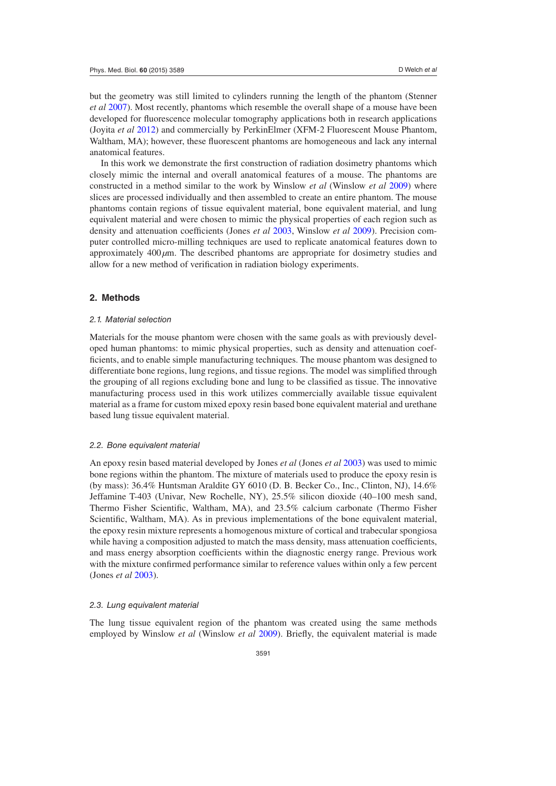but the geometry was still limited to cylinders running the length of the phantom (Stenner *et al* [2007](#page-10-20)). Most recently, phantoms which resemble the overall shape of a mouse have been developed for fluorescence molecular tomography applications both in research applications (Joyita *et al* [2012\)](#page-10-21) and commercially by PerkinElmer (XFM-2 Fluorescent Mouse Phantom, Waltham, MA); however, these fluorescent phantoms are homogeneous and lack any internal anatomical features.

In this work we demonstrate the first construction of radiation dosimetry phantoms which closely mimic the internal and overall anatomical features of a mouse. The phantoms are constructed in a method similar to the work by Winslow *et al* (Winslow *et al* [2009\)](#page-10-16) where slices are processed individually and then assembled to create an entire phantom. The mouse phantoms contain regions of tissue equivalent material, bone equivalent material, and lung equivalent material and were chosen to mimic the physical properties of each region such as density and attenuation coefficients (Jones *et al* [2003,](#page-10-22) Winslow *et al* [2009](#page-10-16)). Precision computer controlled micro-milling techniques are used to replicate anatomical features down to approximately  $400 \mu m$ . The described phantoms are appropriate for dosimetry studies and allow for a new method of verification in radiation biology experiments.

# **2. Methods**

#### *2.1. Material selection*

Materials for the mouse phantom were chosen with the same goals as with previously developed human phantoms: to mimic physical properties, such as density and attenuation coefficients, and to enable simple manufacturing techniques. The mouse phantom was designed to differentiate bone regions, lung regions, and tissue regions. The model was simplified through the grouping of all regions excluding bone and lung to be classified as tissue. The innovative manufacturing process used in this work utilizes commercially available tissue equivalent material as a frame for custom mixed epoxy resin based bone equivalent material and urethane based lung tissue equivalent material.

#### *2.2. Bone equivalent material*

An epoxy resin based material developed by Jones *et al* (Jones *et al* [2003\)](#page-10-22) was used to mimic bone regions within the phantom. The mixture of materials used to produce the epoxy resin is (by mass): 36.4% Huntsman Araldite GY 6010 (D. B. Becker Co., Inc., Clinton, NJ), 14.6% Jeffamine T-403 (Univar, New Rochelle, NY), 25.5% silicon dioxide (40–100 mesh sand, Thermo Fisher Scientific, Waltham, MA), and 23.5% calcium carbonate (Thermo Fisher Scientific, Waltham, MA). As in previous implementations of the bone equivalent material, the epoxy resin mixture represents a homogenous mixture of cortical and trabecular spongiosa while having a composition adjusted to match the mass density, mass attenuation coefficients, and mass energy absorption coefficients within the diagnostic energy range. Previous work with the mixture confirmed performance similar to reference values within only a few percent (Jones *et al* [2003](#page-10-22)).

#### *2.3. Lung equivalent material*

The lung tissue equivalent region of the phantom was created using the same methods employed by Winslow *et al* (Winslow *et al* [2009](#page-10-16)). Briefly, the equivalent material is made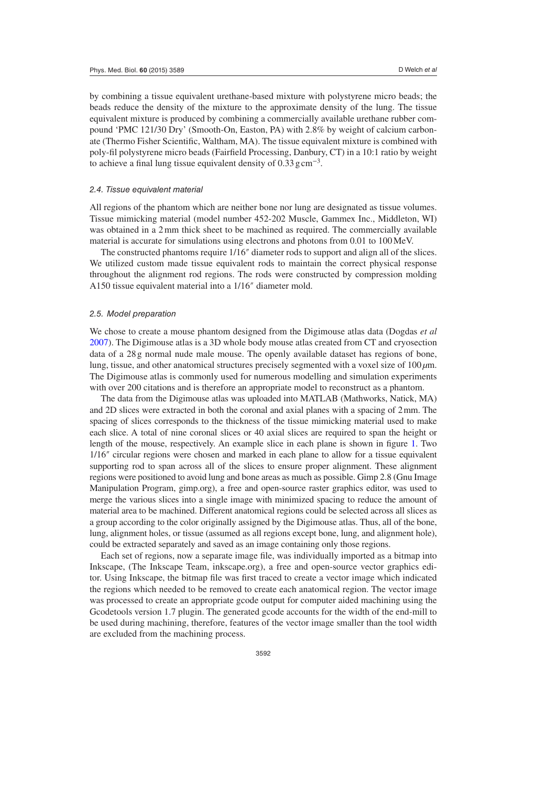by combining a tissue equivalent urethane-based mixture with polystyrene micro beads; the beads reduce the density of the mixture to the approximate density of the lung. The tissue equivalent mixture is produced by combining a commercially available urethane rubber compound 'PMC 121/30 Dry' (Smooth-On, Easton, PA) with 2.8% by weight of calcium carbonate (Thermo Fisher Scientific, Waltham, MA). The tissue equivalent mixture is combined with poly-fil polystyrene micro beads (Fairfield Processing, Danbury, CT) in a 10:1 ratio by weight to achieve a final lung tissue equivalent density of  $0.33$  g cm<sup>-3</sup>.

## *2.4. Tissue equivalent material*

All regions of the phantom which are neither bone nor lung are designated as tissue volumes. Tissue mimicking material (model number 452-202 Muscle, Gammex Inc., Middleton, WI) was obtained in a 2mm thick sheet to be machined as required. The commercially available material is accurate for simulations using electrons and photons from 0.01 to 100MeV.

The constructed phantoms require 1/16″ diameter rods to support and align all of the slices. We utilized custom made tissue equivalent rods to maintain the correct physical response throughout the alignment rod regions. The rods were constructed by compression molding A150 tissue equivalent material into a 1/16″ diameter mold.

## *2.5. Model preparation*

We chose to create a mouse phantom designed from the Digimouse atlas data (Dogdas *et al* [2007](#page-10-6)). The Digimouse atlas is a 3D whole body mouse atlas created from CT and cryosection data of a 28g normal nude male mouse. The openly available dataset has regions of bone, lung, tissue, and other anatomical structures precisely segmented with a voxel size of 100 *µ*m. The Digimouse atlas is commonly used for numerous modelling and simulation experiments with over 200 citations and is therefore an appropriate model to reconstruct as a phantom.

The data from the Digimouse atlas was uploaded into MATLAB (Mathworks, Natick, MA) and 2D slices were extracted in both the coronal and axial planes with a spacing of 2mm. The spacing of slices corresponds to the thickness of the tissue mimicking material used to make each slice. A total of nine coronal slices or 40 axial slices are required to span the height or length of the mouse, respectively. An example slice in each plane is shown in figure [1](#page-5-0). Two 1/16″ circular regions were chosen and marked in each plane to allow for a tissue equivalent supporting rod to span across all of the slices to ensure proper alignment. These alignment regions were positioned to avoid lung and bone areas as much as possible. Gimp 2.8 (Gnu Image Manipulation Program, gimp.org), a free and open-source raster graphics editor, was used to merge the various slices into a single image with minimized spacing to reduce the amount of material area to be machined. Different anatomical regions could be selected across all slices as a group according to the color originally assigned by the Digimouse atlas. Thus, all of the bone, lung, alignment holes, or tissue (assumed as all regions except bone, lung, and alignment hole), could be extracted separately and saved as an image containing only those regions.

Each set of regions, now a separate image file, was individually imported as a bitmap into Inkscape, (The Inkscape Team, inkscape.org), a free and open-source vector graphics editor. Using Inkscape, the bitmap file was first traced to create a vector image which indicated the regions which needed to be removed to create each anatomical region. The vector image was processed to create an appropriate gcode output for computer aided machining using the Gcodetools version 1.7 plugin. The generated gcode accounts for the width of the end-mill to be used during machining, therefore, features of the vector image smaller than the tool width are excluded from the machining process.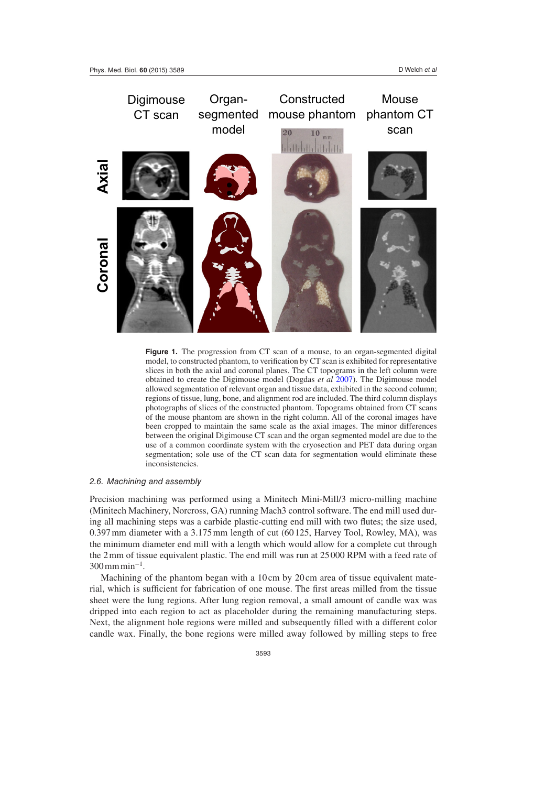<span id="page-5-0"></span>

**Figure 1.** The progression from CT scan of a mouse, to an organ-segmented digital model, to constructed phantom, to verification by CT scan is exhibited for representative slices in both the axial and coronal planes. The CT topograms in the left column were obtained to create the Digimouse model (Dogdas *et al* [2007\)](#page-10-6). The Digimouse model allowed segmentation of relevant organ and tissue data, exhibited in the second column; regions of tissue, lung, bone, and alignment rod are included. The third column displays photographs of slices of the constructed phantom. Topograms obtained from CT scans of the mouse phantom are shown in the right column. All of the coronal images have been cropped to maintain the same scale as the axial images. The minor differences between the original Digimouse CT scan and the organ segmented model are due to the use of a common coordinate system with the cryosection and PET data during organ segmentation; sole use of the CT scan data for segmentation would eliminate these inconsistencies.

#### *2.6. Machining and assembly*

Precision machining was performed using a Minitech Mini-Mill/3 micro-milling machine (Minitech Machinery, Norcross, GA) running Mach3 control software. The end mill used during all machining steps was a carbide plastic-cutting end mill with two flutes; the size used, 0.397mm diameter with a 3.175mm length of cut (60 125, Harvey Tool, Rowley, MA), was the minimum diameter end mill with a length which would allow for a complete cut through the 2mm of tissue equivalent plastic. The end mill was run at 25 000 RPM with a feed rate of  $300$  mm min<sup>-1</sup>.

Machining of the phantom began with a 10 cm by 20 cm area of tissue equivalent material, which is sufficient for fabrication of one mouse. The first areas milled from the tissue sheet were the lung regions. After lung region removal, a small amount of candle wax was dripped into each region to act as placeholder during the remaining manufacturing steps. Next, the alignment hole regions were milled and subsequently filled with a different color candle wax. Finally, the bone regions were milled away followed by milling steps to free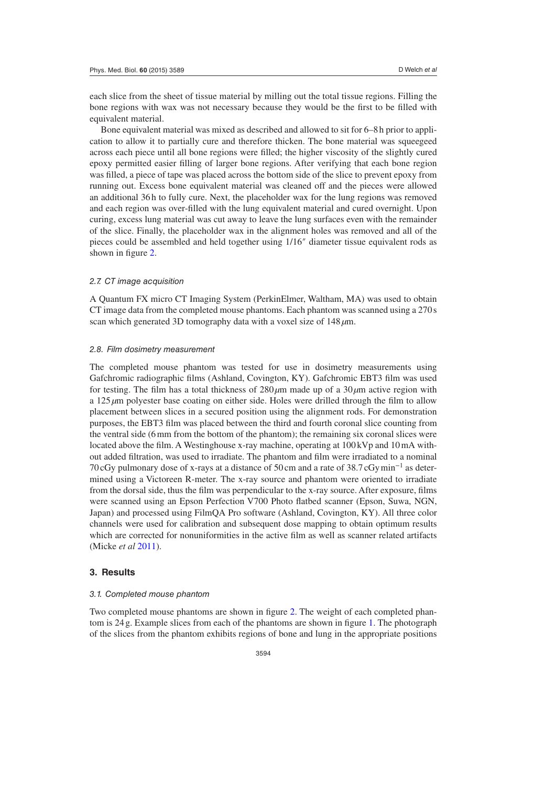each slice from the sheet of tissue material by milling out the total tissue regions. Filling the bone regions with wax was not necessary because they would be the first to be filled with equivalent material.

Bone equivalent material was mixed as described and allowed to sit for 6–8h prior to application to allow it to partially cure and therefore thicken. The bone material was squeegeed across each piece until all bone regions were filled; the higher viscosity of the slightly cured epoxy permitted easier filling of larger bone regions. After verifying that each bone region was filled, a piece of tape was placed across the bottom side of the slice to prevent epoxy from running out. Excess bone equivalent material was cleaned off and the pieces were allowed an additional 36 h to fully cure. Next, the placeholder wax for the lung regions was removed and each region was over-filled with the lung equivalent material and cured overnight. Upon curing, excess lung material was cut away to leave the lung surfaces even with the remainder of the slice. Finally, the placeholder wax in the alignment holes was removed and all of the pieces could be assembled and held together using 1/16″ diameter tissue equivalent rods as shown in figure [2](#page-7-0).

## *2.7. CT image acquisition*

A Quantum FX micro CT Imaging System (PerkinElmer, Waltham, MA) was used to obtain CT image data from the completed mouse phantoms. Each phantom was scanned using a 270s scan which generated 3D tomography data with a voxel size of 148*µ*m.

#### *2.8. Film dosimetry measurement*

The completed mouse phantom was tested for use in dosimetry measurements using Gafchromic radiographic films (Ashland, Covington, KY). Gafchromic EBT3 film was used for testing. The film has a total thickness of  $280 \mu m$  made up of a  $30 \mu m$  active region with a 125 *µ*m polyester base coating on either side. Holes were drilled through the film to allow placement between slices in a secured position using the alignment rods. For demonstration purposes, the EBT3 film was placed between the third and fourth coronal slice counting from the ventral side (6mm from the bottom of the phantom); the remaining six coronal slices were located above the film. A Westinghouse x-ray machine, operating at  $100 \text{kVp}$  and  $10 \text{mA}$  without added filtration, was used to irradiate. The phantom and film were irradiated to a nominal 70cGy pulmonary dose of x-rays at a distance of 50cm and a rate of 38.7cGymin<sup>−</sup><sup>1</sup> as determined using a Victoreen R-meter. The x-ray source and phantom were oriented to irradiate from the dorsal side, thus the film was perpendicular to the x-ray source. After exposure, films were scanned using an Epson Perfection V700 Photo flatbed scanner (Epson, Suwa, NGN, Japan) and processed using FilmQA Pro software (Ashland, Covington, KY). All three color channels were used for calibration and subsequent dose mapping to obtain optimum results which are corrected for nonuniformities in the active film as well as scanner related artifacts (Micke *et al* [2011](#page-10-23)).

# **3. Results**

#### *3.1. Completed mouse phantom*

Two completed mouse phantoms are shown in figure [2.](#page-7-0) The weight of each completed phantom is 24 g. Example slices from each of the phantoms are shown in figure [1.](#page-5-0) The photograph of the slices from the phantom exhibits regions of bone and lung in the appropriate positions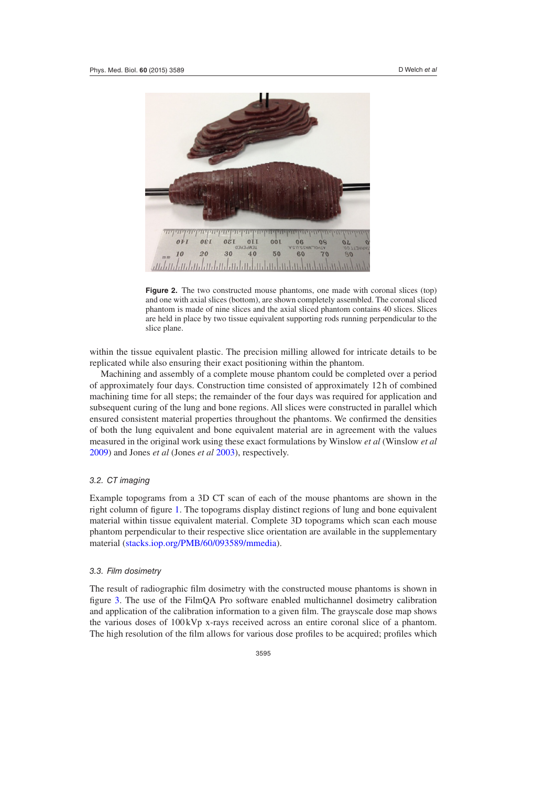<span id="page-7-0"></span>

Figure 2. The two constructed mouse phantoms, one made with coronal slices (top) and one with axial slices (bottom), are shown completely assembled. The coronal sliced phantom is made of nine slices and the axial sliced phantom contains 40 slices. Slices are held in place by two tissue equivalent supporting rods running perpendicular to the slice plane.

within the tissue equivalent plastic. The precision milling allowed for intricate details to be replicated while also ensuring their exact positioning within the phantom.

Machining and assembly of a complete mouse phantom could be completed over a period of approximately four days. Construction time consisted of approximately 12 h of combined machining time for all steps; the remainder of the four days was required for application and subsequent curing of the lung and bone regions. All slices were constructed in parallel which ensured consistent material properties throughout the phantoms. We confirmed the densities of both the lung equivalent and bone equivalent material are in agreement with the values measured in the original work using these exact formulations by Winslow *et al* (Winslow *et al* [2009](#page-10-16)) and Jones *et al* (Jones *et al* [2003\)](#page-10-22), respectively.

## *3.2. CT imaging*

Example topograms from a 3D CT scan of each of the mouse phantoms are shown in the right column of figure [1](#page-5-0). The topograms display distinct regions of lung and bone equivalent material within tissue equivalent material. Complete 3D topograms which scan each mouse phantom perpendicular to their respective slice orientation are available in the supplementary material ([stacks.iop.org/PMB/60/093589/mmedia](http://stacks.iop.org/PMB/60/093589/mmedia)).

## *3.3. Film dosimetry*

The result of radiographic film dosimetry with the constructed mouse phantoms is shown in figure [3](#page-8-0). The use of the FilmQA Pro software enabled multichannel dosimetry calibration and application of the calibration information to a given film. The grayscale dose map shows the various doses of 100kVp x-rays received across an entire coronal slice of a phantom. The high resolution of the film allows for various dose profiles to be acquired; profiles which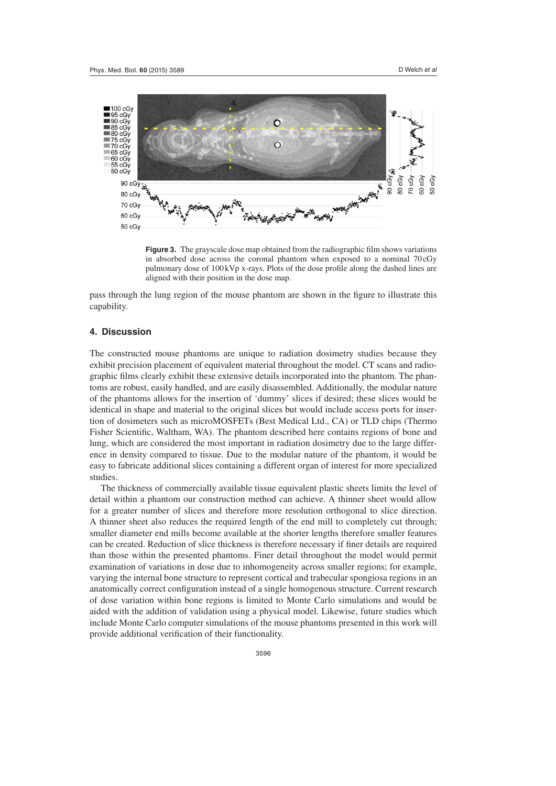<span id="page-8-0"></span>

**Figure 3.** The grayscale dose map obtained from the radiographic film shows variations in absorbed dose across the coronal phantom when exposed to a nominal 70cGy pulmonary dose of 100 kVp x-rays. Plots of the dose profile along the dashed lines are aligned with their position in the dose map.

pass through the lung region of the mouse phantom are shown in the figure to illustrate this capability.

# **4. Discussion**

The constructed mouse phantoms are unique to radiation dosimetry studies because they exhibit precision placement of equivalent material throughout the model. CT scans and radiographic films clearly exhibit these extensive details incorporated into the phantom. The phantoms are robust, easily handled, and are easily disassembled. Additionally, the modular nature of the phantoms allows for the insertion of 'dummy' slices if desired; these slices would be identical in shape and material to the original slices but would include access ports for insertion of dosimeters such as microMOSFETs (Best Medical Ltd., CA) or TLD chips (Thermo Fisher Scientific, Waltham, WA). The phantom described here contains regions of bone and lung, which are considered the most important in radiation dosimetry due to the large difference in density compared to tissue. Due to the modular nature of the phantom, it would be easy to fabricate additional slices containing a different organ of interest for more specialized studies.

The thickness of commercially available tissue equivalent plastic sheets limits the level of detail within a phantom our construction method can achieve. A thinner sheet would allow for a greater number of slices and therefore more resolution orthogonal to slice direction. A thinner sheet also reduces the required length of the end mill to completely cut through; smaller diameter end mills become available at the shorter lengths therefore smaller features can be created. Reduction of slice thickness is therefore necessary if finer details are required than those within the presented phantoms. Finer detail throughout the model would permit examination of variations in dose due to inhomogeneity across smaller regions; for example, varying the internal bone structure to represent cortical and trabecular spongiosa regions in an anatomically correct configuration instead of a single homogenous structure. Current research of dose variation within bone regions is limited to Monte Carlo simulations and would be aided with the addition of validation using a physical model. Likewise, future studies which include Monte Carlo computer simulations of the mouse phantoms presented in this work will provide additional verification of their functionality.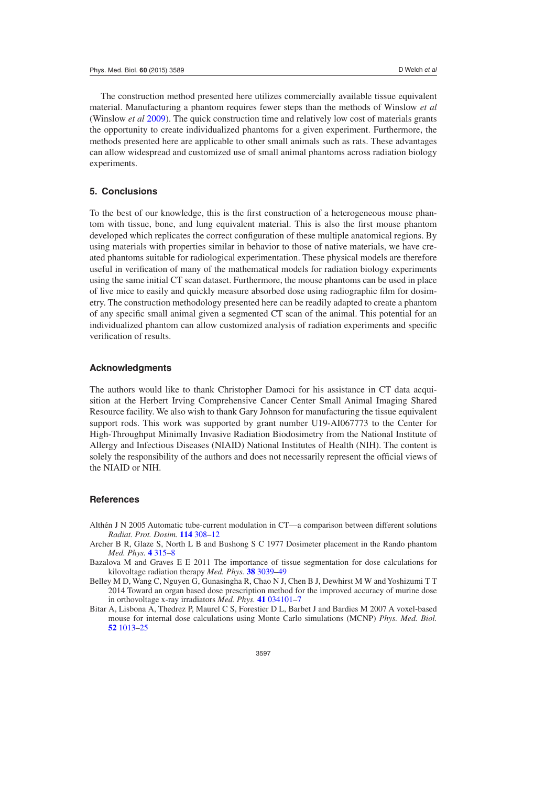The construction method presented here utilizes commercially available tissue equivalent material. Manufacturing a phantom requires fewer steps than the methods of Winslow *et al* (Winslow *et al* [2009](#page-10-16)). The quick construction time and relatively low cost of materials grants the opportunity to create individualized phantoms for a given experiment. Furthermore, the methods presented here are applicable to other small animals such as rats. These advantages can allow widespread and customized use of small animal phantoms across radiation biology experiments.

# **5. Conclusions**

To the best of our knowledge, this is the first construction of a heterogeneous mouse phantom with tissue, bone, and lung equivalent material. This is also the first mouse phantom developed which replicates the correct configuration of these multiple anatomical regions. By using materials with properties similar in behavior to those of native materials, we have created phantoms suitable for radiological experimentation. These physical models are therefore useful in verification of many of the mathematical models for radiation biology experiments using the same initial CT scan dataset. Furthermore, the mouse phantoms can be used in place of live mice to easily and quickly measure absorbed dose using radiographic film for dosimetry. The construction methodology presented here can be readily adapted to create a phantom of any specific small animal given a segmented CT scan of the animal. This potential for an individualized phantom can allow customized analysis of radiation experiments and specific verification of results.

### **Acknowledgments**

The authors would like to thank Christopher Damoci for his assistance in CT data acquisition at the Herbert Irving Comprehensive Cancer Center Small Animal Imaging Shared Resource facility. We also wish to thank Gary Johnson for manufacturing the tissue equivalent support rods. This work was supported by grant number U19-AI067773 to the Center for High-Throughput Minimally Invasive Radiation Biodosimetry from the National Institute of Allergy and Infectious Diseases (NIAID) National Institutes of Health (NIH). The content is solely the responsibility of the authors and does not necessarily represent the official views of the NIAID or NIH.

## **References**

- <span id="page-9-4"></span>Althén J N 2005 Automatic tube-current modulation in CT—a comparison between different solutions *Radiat. Prot. Dosim.* **[114](http://dx.doi.org/10.1093/rpd/nch501)** [308](http://dx.doi.org/10.1093/rpd/nch501)–[12](http://dx.doi.org/10.1093/rpd/nch501)
- <span id="page-9-3"></span>Archer B R, Glaze S, North L B and Bushong S C 1977 Dosimeter placement in the Rando phantom *Med. Phys.* **[4](http://dx.doi.org/10.1118/1.594320)** [315](http://dx.doi.org/10.1118/1.594320)–[8](http://dx.doi.org/10.1118/1.594320)
- <span id="page-9-0"></span>Bazalova M and Graves E E 2011 The importance of tissue segmentation for dose calculations for kilovoltage radiation therapy *Med. Phys.* **[38](http://dx.doi.org/10.1118/1.3589138)** [3039](http://dx.doi.org/10.1118/1.3589138)–[49](http://dx.doi.org/10.1118/1.3589138)
- <span id="page-9-1"></span>Belley M D, Wang C, Nguyen G, Gunasingha R, Chao N J, Chen B J, Dewhirst M W and Yoshizumi T T 2014 Toward an organ based dose prescription method for the improved accuracy of murine dose in orthovoltage x-ray irradiators *Med. Phys.* **[41](http://dx.doi.org/10.1118/1.486423)** [034101](http://dx.doi.org/10.1118/1.486423)–[7](http://dx.doi.org/10.1118/1.486423)
- <span id="page-9-2"></span>Bitar A, Lisbona A, Thedrez P, Maurel C S, Forestier D L, Barbet J and Bardies M 2007 A voxel-base[d](http://dx.doi.org/10.1088/0031-9155/52/4/010)  mouse for internal dose calculations using Monte Carlo simulations (MCNP) *Phys. Med. Biol.* **[52](http://dx.doi.org/10.1088/0031-9155/52/4/010)** [1013](http://dx.doi.org/10.1088/0031-9155/52/4/010)–[25](http://dx.doi.org/10.1088/0031-9155/52/4/010)